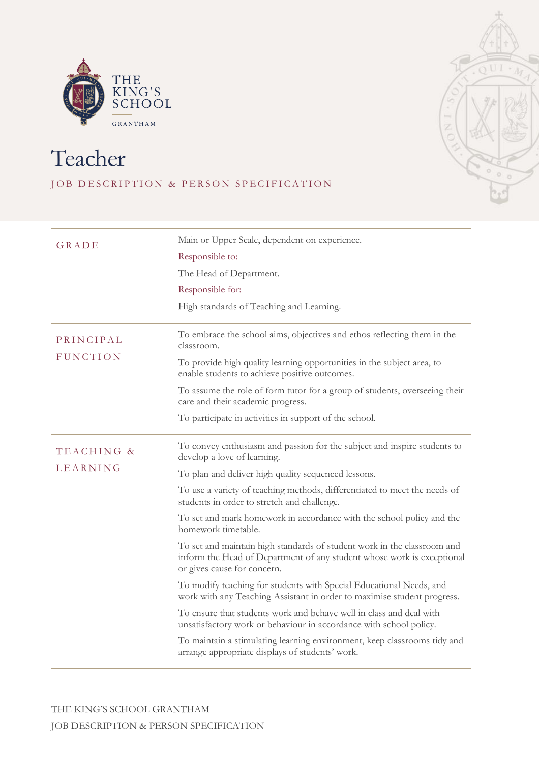



## Teacher

JOB DESCRIPTION & PERSON SPECIFICATION

| GRADE                        | Main or Upper Scale, dependent on experience.<br>Responsible to:<br>The Head of Department.<br>Responsible for:<br>High standards of Teaching and Learning.                                                                                                                                                                                                                                                                                                                                                                                                                                                                                                                                                                                                                                                                                                                                                                                                                                                  |
|------------------------------|--------------------------------------------------------------------------------------------------------------------------------------------------------------------------------------------------------------------------------------------------------------------------------------------------------------------------------------------------------------------------------------------------------------------------------------------------------------------------------------------------------------------------------------------------------------------------------------------------------------------------------------------------------------------------------------------------------------------------------------------------------------------------------------------------------------------------------------------------------------------------------------------------------------------------------------------------------------------------------------------------------------|
| PRINCIPAL<br><b>FUNCTION</b> | To embrace the school aims, objectives and ethos reflecting them in the<br>classroom.<br>To provide high quality learning opportunities in the subject area, to<br>enable students to achieve positive outcomes.<br>To assume the role of form tutor for a group of students, overseeing their                                                                                                                                                                                                                                                                                                                                                                                                                                                                                                                                                                                                                                                                                                               |
|                              | care and their academic progress.<br>To participate in activities in support of the school.                                                                                                                                                                                                                                                                                                                                                                                                                                                                                                                                                                                                                                                                                                                                                                                                                                                                                                                  |
| TEACHING &<br>LEARNING       | To convey enthusiasm and passion for the subject and inspire students to<br>develop a love of learning.<br>To plan and deliver high quality sequenced lessons.<br>To use a variety of teaching methods, differentiated to meet the needs of<br>students in order to stretch and challenge.<br>To set and mark homework in accordance with the school policy and the<br>homework timetable.<br>To set and maintain high standards of student work in the classroom and<br>inform the Head of Department of any student whose work is exceptional<br>or gives cause for concern.<br>To modify teaching for students with Special Educational Needs, and<br>work with any Teaching Assistant in order to maximise student progress.<br>To ensure that students work and behave well in class and deal with<br>unsatisfactory work or behaviour in accordance with school policy.<br>To maintain a stimulating learning environment, keep classrooms tidy and<br>arrange appropriate displays of students' work. |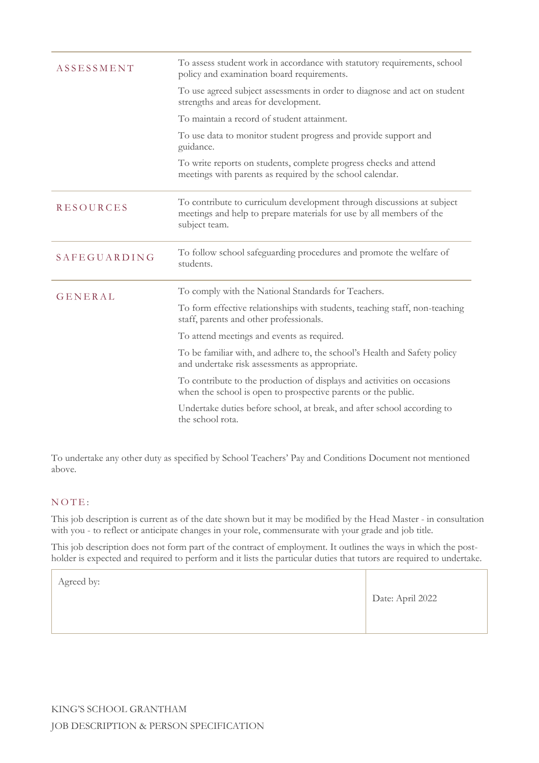| <b>ASSESSMENT</b> | To assess student work in accordance with statutory requirements, school<br>policy and examination board requirements.                                          |
|-------------------|-----------------------------------------------------------------------------------------------------------------------------------------------------------------|
|                   | To use agreed subject assessments in order to diagnose and act on student<br>strengths and areas for development.                                               |
|                   | To maintain a record of student attainment.                                                                                                                     |
|                   | To use data to monitor student progress and provide support and<br>guidance.                                                                                    |
|                   | To write reports on students, complete progress checks and attend<br>meetings with parents as required by the school calendar.                                  |
| <b>RESOURCES</b>  | To contribute to curriculum development through discussions at subject<br>meetings and help to prepare materials for use by all members of the<br>subject team. |
|                   |                                                                                                                                                                 |
| SAFEGUARDING      | To follow school safeguarding procedures and promote the welfare of<br>students.                                                                                |
|                   | To comply with the National Standards for Teachers.                                                                                                             |
| GENERAL           | To form effective relationships with students, teaching staff, non-teaching<br>staff, parents and other professionals.                                          |
|                   | To attend meetings and events as required.                                                                                                                      |
|                   | To be familiar with, and adhere to, the school's Health and Safety policy<br>and undertake risk assessments as appropriate.                                     |
|                   | To contribute to the production of displays and activities on occasions<br>when the school is open to prospective parents or the public.                        |

To undertake any other duty as specified by School Teachers' Pay and Conditions Document not mentioned above.

## $NOTE$ :

This job description is current as of the date shown but it may be modified by the Head Master - in consultation with you - to reflect or anticipate changes in your role, commensurate with your grade and job title.

This job description does not form part of the contract of employment. It outlines the ways in which the postholder is expected and required to perform and it lists the particular duties that tutors are required to undertake.

| Agreed by: |                  |
|------------|------------------|
|            | Date: April 2022 |
|            |                  |